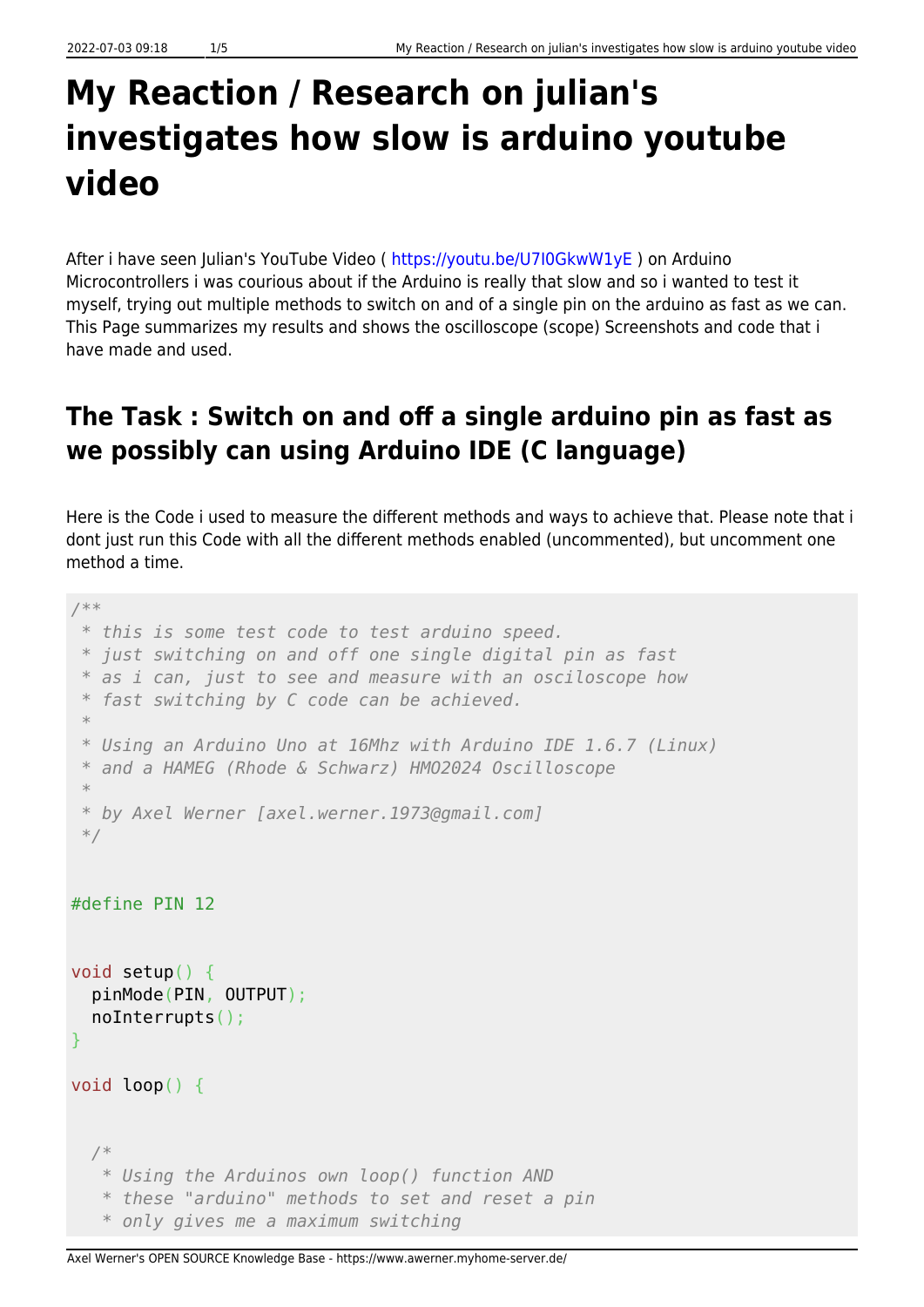## **My Reaction / Research on julian's investigates how slow is arduino youtube video**

After i have seen Julian's YouTube Video (<https://youtu.be/U7I0GkwW1yE> ) on Arduino Microcontrollers i was courious about if the Arduino is really that slow and so i wanted to test it myself, trying out multiple methods to switch on and of a single pin on the arduino as fast as we can. This Page summarizes my results and shows the oscilloscope (scope) Screenshots and code that i have made and used.

## **The Task : Switch on and off a single arduino pin as fast as we possibly can using Arduino IDE (C language)**

Here is the Code i used to measure the different methods and ways to achieve that. Please note that i dont just run this Code with all the different methods enabled (uncommented), but uncomment one method a time.

```
/**
 * this is some test code to test arduino speed.
 * just switching on and off one single digital pin as fast
 * as i can, just to see and measure with an osciloscope how
 * fast switching by C code can be achieved.
 *
 * Using an Arduino Uno at 16Mhz with Arduino IDE 1.6.7 (Linux)
 * and a HAMEG (Rhode & Schwarz) HMO2024 Oscilloscope
 *
 * by Axel Werner [axel.werner.1973@gmail.com]
 */
#define PIN 12
void setup() {
   pinMode(PIN, OUTPUT);
   noInterrupts();
}
void loop() {
   /*
    * Using the Arduinos own loop() function AND
    * these "arduino" methods to set and reset a pin
    * only gives me a maximum switching
```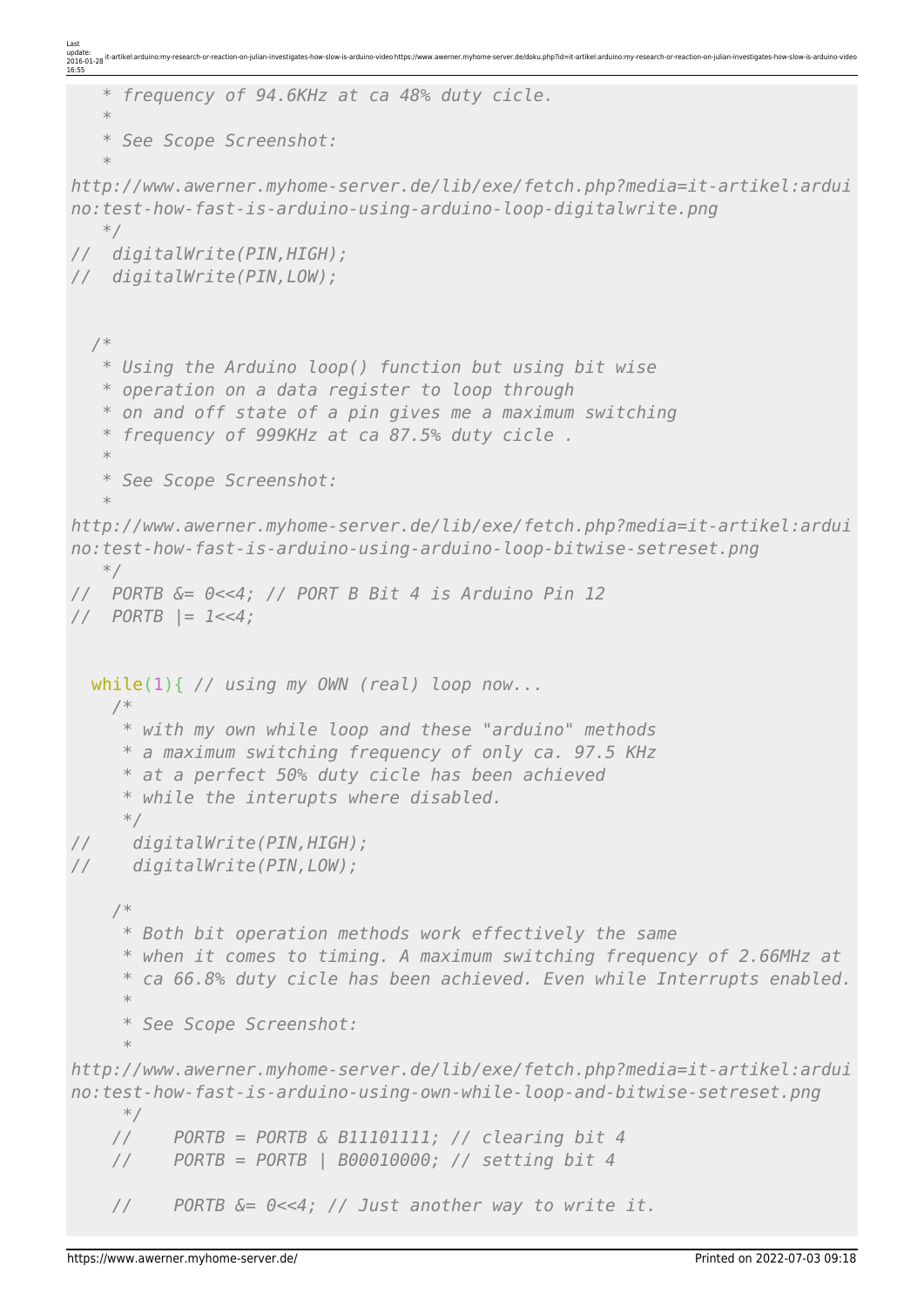```
Last
update:
2016-01-28
16:55
                                       erner.myhome-server.de/doku.php?id=it-artikel:arduino:my-research-or-rea
    * frequency of 94.6KHz at ca 48% duty cicle.
    *
    * See Scope Screenshot:
    *
http://www.awerner.myhome-server.de/lib/exe/fetch.php?media=it-artikel:ardui
no:test-how-fast-is-arduino-using-arduino-loop-digitalwrite.png
    */
// digitalWrite(PIN,HIGH);
// digitalWrite(PIN,LOW);
   /*
    * Using the Arduino loop() function but using bit wise
    * operation on a data register to loop through
    * on and off state of a pin gives me a maximum switching
    * frequency of 999KHz at ca 87.5% duty cicle .
    *
    * See Scope Screenshot:
    *
http://www.awerner.myhome-server.de/lib/exe/fetch.php?media=it-artikel:ardui
no:test-how-fast-is-arduino-using-arduino-loop-bitwise-setreset.png
    */
// PORTB &= 0<<4; // PORT B Bit 4 is Arduino Pin 12
// PORTB |= 1<<4;
   while(1){ // using my OWN (real) loop now...
     /*
      * with my own while loop and these "arduino" methods
      * a maximum switching frequency of only ca. 97.5 KHz
      * at a perfect 50% duty cicle has been achieved
      * while the interupts where disabled.
      */
// digitalWrite(PIN,HIGH);
// digitalWrite(PIN,LOW);
     /*
      * Both bit operation methods work effectively the same
      * when it comes to timing. A maximum switching frequency of 2.66MHz at
      * ca 66.8% duty cicle has been achieved. Even while Interrupts enabled.
 *
      * See Scope Screenshot:
 *
http://www.awerner.myhome-server.de/lib/exe/fetch.php?media=it-artikel:ardui
no:test-how-fast-is-arduino-using-own-while-loop-and-bitwise-setreset.png
      */
     // PORTB = PORTB & B11101111; // clearing bit 4
     // PORTB = PORTB | B00010000; // setting bit 4
     // PORTB &= 0<<4; // Just another way to write it.
```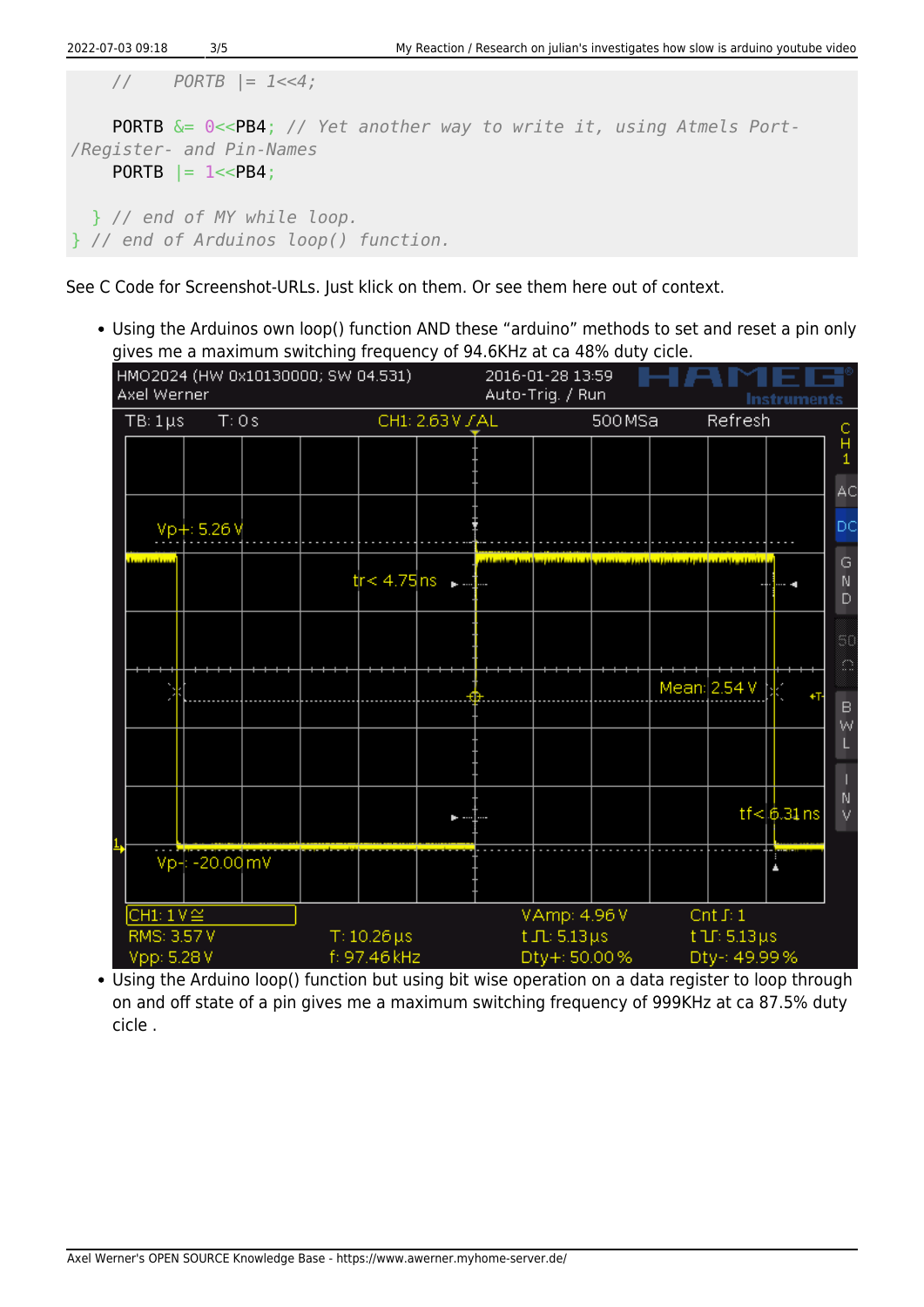```
2022-07-03 09:18 3/5 My Reaction / Research on julian's investigates how slow is arduino youtube video
     // PORTB |= 1<<4;
     PORTB &= 0<<PB4; // Yet another way to write it, using Atmels Port-
/Register- and Pin-Names
    PORTB = 1 < PBA;
   } // end of MY while loop.
} // end of Arduinos loop() function.
```
See C Code for Screenshot-URLs. Just klick on them. Or see them here out of context.

Using the Arduinos own loop() function AND these "arduino" methods to set and reset a pin only gives me a maximum switching frequency of 94.6KHz at ca 48% duty cicle.



Using the Arduino loop() function but using bit wise operation on a data register to loop through on and off state of a pin gives me a maximum switching frequency of 999KHz at ca 87.5% duty cicle .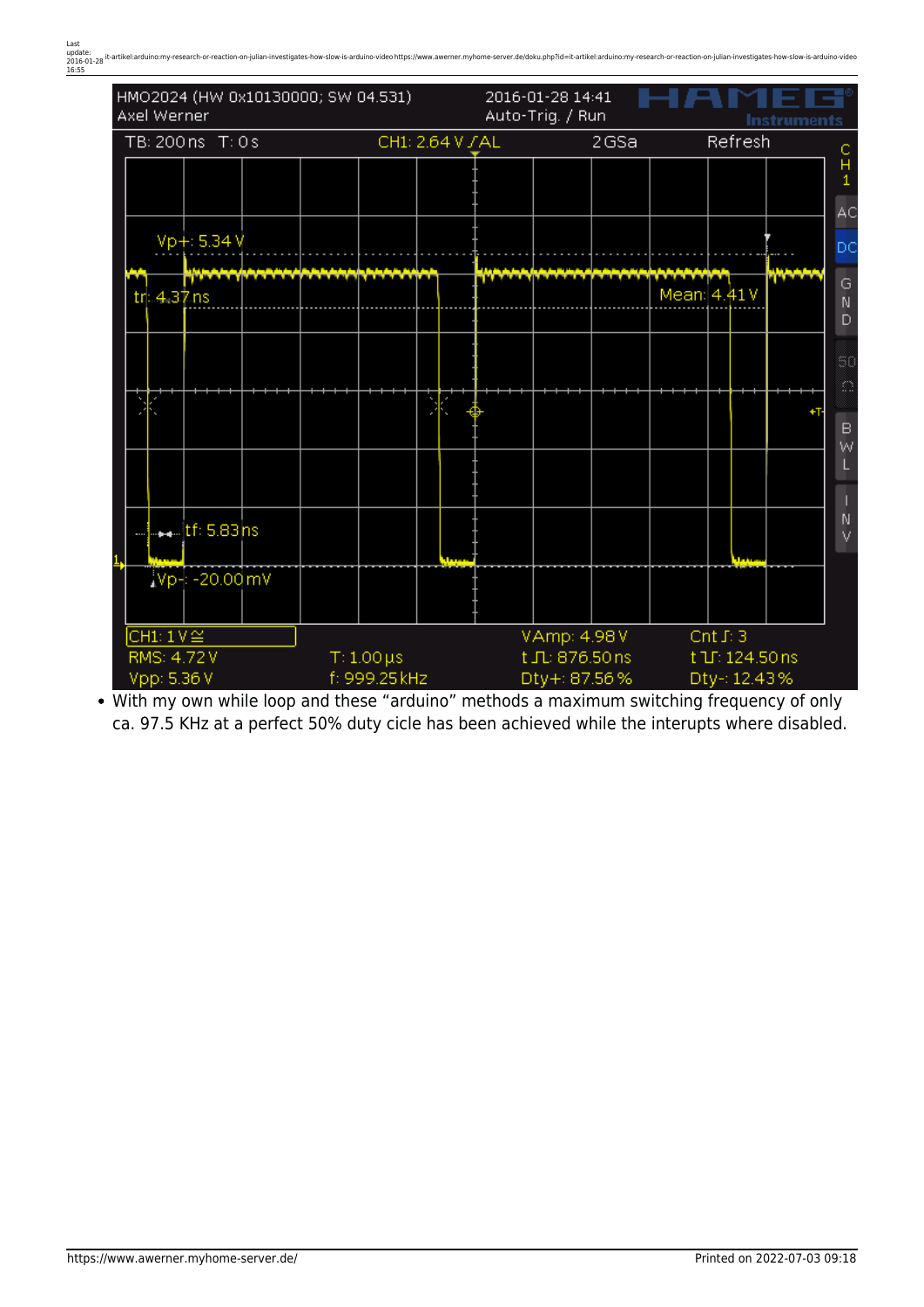

With my own while loop and these "arduino" methods a maximum switching frequency of only ca. 97.5 KHz at a perfect 50% duty cicle has been achieved while the interupts where disabled.